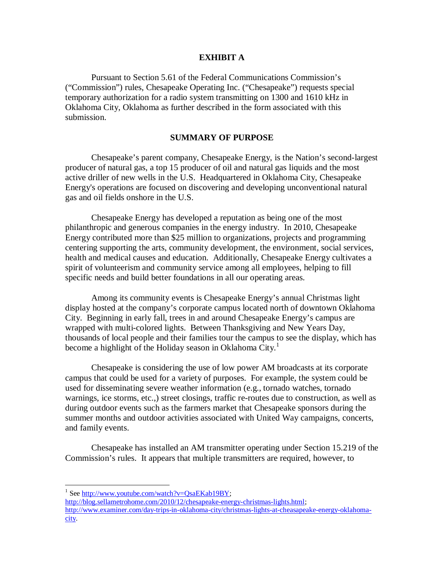## **EXHIBIT A**

Pursuant to Section 5.61 of the Federal Communications Commission's ("Commission") rules, Chesapeake Operating Inc. ("Chesapeake") requests special temporary authorization for a radio system transmitting on 1300 and 1610 kHz in Oklahoma City, Oklahoma as further described in the form associated with this submission.

## **SUMMARY OF PURPOSE**

Chesapeake's parent company, Chesapeake Energy, is the Nation's second-largest producer of natural gas, a top 15 producer of oil and natural gas liquids and the most active driller of new wells in the U.S. Headquartered in Oklahoma City, Chesapeake Energy's operations are focused on discovering and developing unconventional natural gas and oil fields onshore in the U.S.

Chesapeake Energy has developed a reputation as being one of the most philanthropic and generous companies in the energy industry. In 2010, Chesapeake Energy contributed more than \$25 million to organizations, projects and programming centering supporting the arts, community development, the environment, social services, health and medical causes and education. Additionally, Chesapeake Energy cultivates a spirit of volunteerism and community service among all employees, helping to fill specific needs and build better foundations in all our operating areas.

Among its community events is Chesapeake Energy's annual Christmas light display hosted at the company's corporate campus located north of downtown Oklahoma City. Beginning in early fall, trees in and around Chesapeake Energy's campus are wrapped with multi-colored lights. Between Thanksgiving and New Years Day, thousands of local people and their families tour the campus to see the display, which has become a highlight of the Holiday season in Oklahoma City.<sup>1</sup>

Chesapeake is considering the use of low power AM broadcasts at its corporate campus that could be used for a variety of purposes. For example, the system could be used for disseminating severe weather information (e.g., tornado watches, tornado warnings, ice storms, etc.,) street closings, traffic re-routes due to construction, as well as during outdoor events such as the farmers market that Chesapeake sponsors during the summer months and outdoor activities associated with United Way campaigns, concerts, and family events.

Chesapeake has installed an AM transmitter operating under Section 15.219 of the Commission's rules. It appears that multiple transmitters are required, however, to

<sup>&</sup>lt;sup>1</sup> See http://www.youtube.com/watch?v=QsaEKab19BY;

http://blog.sellametrohome.com/2010/12/chesapeake-energy-christmas-lights.html; http://www.examiner.com/day-trips-in-oklahoma-city/christmas-lights-at-cheasapeake-energy-oklahomacity.